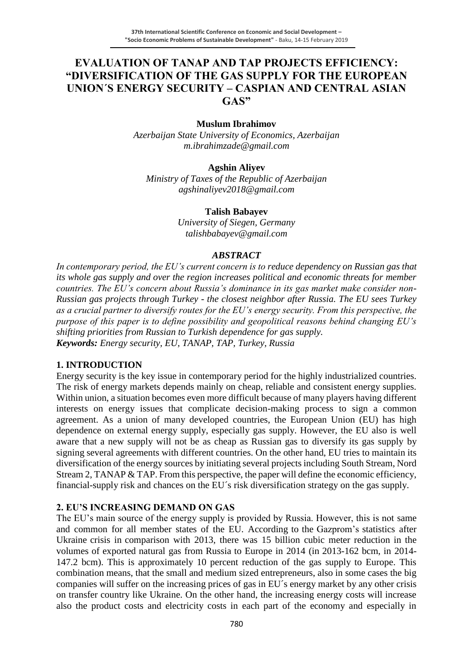# **EVALUATION OF TANAP AND TAP PROJECTS EFFICIENCY: "DIVERSIFICATION OF THE GAS SUPPLY FOR THE EUROPEAN UNION´S ENERGY SECURITY – CASPIAN AND CENTRAL ASIAN GAS"**

### **Muslum Ibrahimov**

*Azerbaijan State University of Economics, Azerbaijan m.ibrahimzade@gmail.com*

### **Agshin Aliyev**

*Ministry of Taxes of the Republic of Azerbaijan agshinaliyev2018@gmail.com*

#### **Talish Babayev**

*University of Siegen, Germany talishbabayev@gmail.com*

#### *ABSTRACT*

*In contemporary period, the EU's current concern is to reduce dependency on Russian gas that its whole gas supply and over the region increases political and economic threats for member countries. The EU's concern about Russia's dominance in its gas market make consider non-Russian gas projects through Turkey - the closest neighbor after Russia. The EU sees Turkey as a crucial partner to diversify routes for the EU's energy security. From this perspective, the purpose of this paper is to define possibility and geopolitical reasons behind changing EU's shifting priorities from Russian to Turkish dependence for gas supply. Keywords: Energy security, EU, TANAP, TAP, Turkey, Russia*

### **1. INTRODUCTION**

Energy security is the key issue in contemporary period for the highly industrialized countries. The risk of energy markets depends mainly on cheap, reliable and consistent energy supplies. Within union, a situation becomes even more difficult because of many players having different interests on energy issues that complicate decision-making process to sign a common agreement. As a union of many developed countries, the European Union (EU) has high dependence on external energy supply, especially gas supply. However, the EU also is well aware that a new supply will not be as cheap as Russian gas to diversify its gas supply by signing several agreements with different countries. On the other hand, EU tries to maintain its diversification of the energy sources by initiating several projects including South Stream, Nord Stream 2, TANAP & TAP. From this perspective, the paper will define the economic efficiency, financial-supply risk and chances on the EU´s risk diversification strategy on the gas supply.

### **2. EU'S INCREASING DEMAND ON GAS**

The EU's main source of the energy supply is provided by Russia. However, this is not same and common for all member states of the EU. According to the Gazprom's statistics after Ukraine crisis in comparison with 2013, there was 15 billion cubic meter reduction in the volumes of exported natural gas from Russia to Europe in 2014 (in 2013-162 bcm, in 2014- 147.2 bcm). This is approximately 10 percent reduction of the gas supply to Europe. This combination means, that the small and medium sized entrepreneurs, also in some cases the big companies will suffer on the increasing prices of gas in EU´s energy market by any other crisis on transfer country like Ukraine. On the other hand, the increasing energy costs will increase also the product costs and electricity costs in each part of the economy and especially in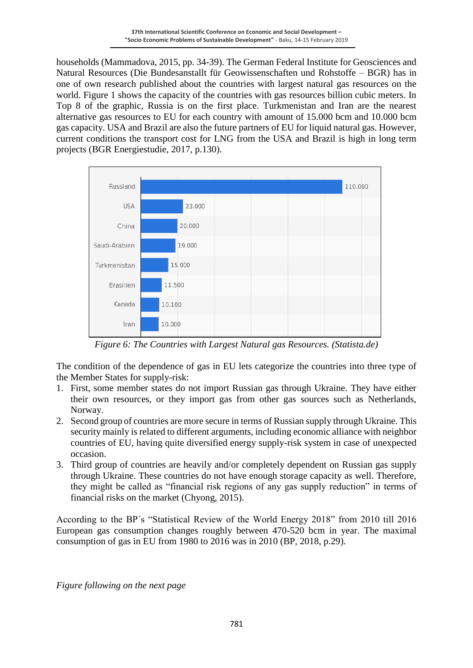households (Mammadova, 2015, pp. 34-39). The German Federal Institute for Geosciences and Natural Resources (Die Bundesanstallt für Geowissenschaften und Rohstoffe – BGR) has in one of own research published about the countries with largest natural gas resources on the world. Figure 1 shows the capacity of the countries with gas resources billion cubic meters. In Top 8 of the graphic, Russia is on the first place. Turkmenistan and Iran are the nearest alternative gas resources to EU for each country with amount of 15.000 bcm and 10.000 bcm gas capacity. USA and Brazil are also the future partners of EU for liquid natural gas. However, current conditions the transport cost for LNG from the USA and Brazil is high in long term projects (BGR Energiestudie, 2017, p.130).



*Figure 6: The Countries with Largest Natural gas Resources. (Statista.de)*

The condition of the dependence of gas in EU lets categorize the countries into three type of the Member States for supply-risk:

- 1. First, some member states do not import Russian gas through Ukraine. They have either their own resources, or they import gas from other gas sources such as Netherlands, Norway.
- 2. Second group of countries are more secure in terms of Russian supply through Ukraine. This security mainly is related to different arguments, including economic alliance with neighbor countries of EU, having quite diversified energy supply-risk system in case of unexpected occasion.
- 3. Third group of countries are heavily and/or completely dependent on Russian gas supply through Ukraine. These countries do not have enough storage capacity as well. Therefore, they might be called as "financial risk regions of any gas supply reduction" in terms of financial risks on the market (Chyong, 2015).

According to the BP´s "Statistical Review of the World Energy 2018" from 2010 till 2016 European gas consumption changes roughly between 470-520 bcm in year. The maximal consumption of gas in EU from 1980 to 2016 was in 2010 (BP, 2018, p.29).

*Figure following on the next page*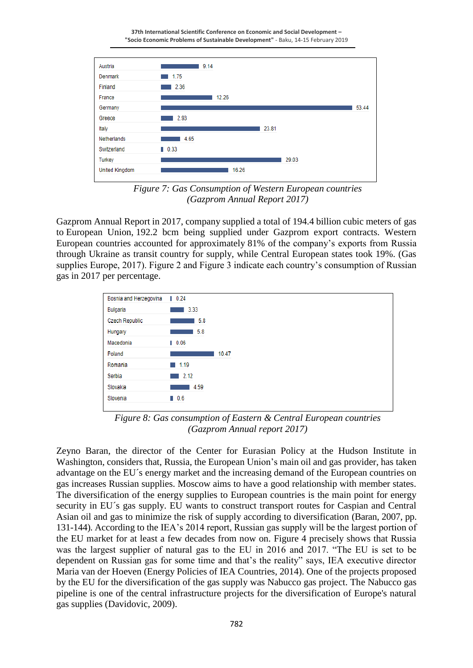**37th International Scientific Conference on Economic and Social Development – "Socio Economic Problems of Sustainable Development"** - Baku, 14-15 February 2019



*Figure 7: Gas Consumption of Western European countries (Gazprom Annual Report 2017)*

Gazprom Annual Report in 2017, company supplied a total of 194.4 billion cubic meters of gas to European Union, 192.2 bcm being supplied under Gazprom export contracts. Western European countries accounted for approximately 81% of the company's exports from Russia through Ukraine as transit country for supply, while Central European states took 19%. (Gas supplies Europe, 2017). Figure 2 and Figure 3 indicate each country's consumption of Russian gas in 2017 per percentage.



*Figure 8: Gas consumption of Eastern & Central European countries (Gazprom Annual report 2017)*

Zeyno Baran, the director of the Center for Eurasian Policy at the Hudson Institute in Washington, considers that, Russia, the European Union's main oil and gas provider, has taken advantage on the EU´s energy market and the increasing demand of the European countries on gas increases Russian supplies. Moscow aims to have a good relationship with member states. The diversification of the energy supplies to European countries is the main point for energy security in EU´s gas supply. EU wants to construct transport routes for Caspian and Central Asian oil and gas to minimize the risk of supply according to diversification (Baran, 2007, pp. 131-144). According to the IEA's 2014 report, Russian gas supply will be the largest portion of the EU market for at least a few decades from now on. Figure 4 precisely shows that Russia was the largest supplier of natural gas to the EU in 2016 and 2017. "The EU is set to be dependent on Russian gas for some time and that's the reality" says, IEA executive director Maria van der Hoeven (Energy Policies of IEA Countries, 2014). One of the projects proposed by the EU for the diversification of the gas supply was Nabucco gas project. The Nabucco gas pipeline is one of the central infrastructure projects for the diversification of Europe's natural gas supplies (Davidovic, 2009).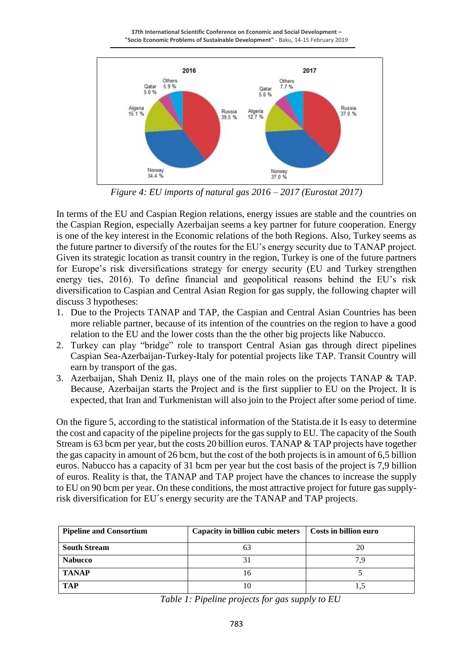**37th International Scientific Conference on Economic and Social Development – "Socio Economic Problems of Sustainable Development"** - Baku, 14-15 February 2019



*Figure 4: EU imports of natural gas 2016 – 2017 (Eurostat 2017)*

In terms of the EU and Caspian Region relations, energy issues are stable and the countries on the Caspian Region, especially Azerbaijan seems a key partner for future cooperation. Energy is one of the key interest in the Economic relations of the both Regions. Also, Turkey seems as the future partner to diversify of the routes for the EU's energy security due to TANAP project. Given its strategic location as transit country in the region, Turkey is one of the future partners for Europe's risk diversifications strategy for energy security (EU and Turkey strengthen energy ties, 2016). To define financial and geopolitical reasons behind the EU's risk diversification to Caspian and Central Asian Region for gas supply, the following chapter will discuss 3 hypotheses:

- 1. Due to the Projects TANAP and TAP, the Caspian and Central Asian Countries has been more reliable partner, because of its intention of the countries on the region to have a good relation to the EU and the lower costs than the the other big projects like Nabucco.
- 2. Turkey can play "bridge" role to transport Central Asian gas through direct pipelines Caspian Sea-Azerbaijan-Turkey-Italy for potential projects like TAP. Transit Country will earn by transport of the gas.
- 3. Azerbaijan, Shah Deniz II, plays one of the main roles on the projects TANAP & TAP. Because, Azerbaijan starts the Project and is the first supplier to EU on the Project. It is expected, that Iran and Turkmenistan will also join to the Project after some period of time.

On the figure 5, according to the statistical information of the Statista.de it Is easy to determine the cost and capacity of the pipeline projects for the gas supply to EU. The capacity of the South Stream is 63 bcm per year, but the costs 20 billion euros. TANAP & TAP projects have together the gas capacity in amount of 26 bcm, but the cost of the both projects is in amount of 6,5 billion euros. Nabucco has a capacity of 31 bcm per year but the cost basis of the project is 7,9 billion of euros. Reality is that, the TANAP and TAP project have the chances to increase the supply to EU on 90 bcm per year. On these conditions, the most attractive project for future gas supplyrisk diversification for EU´s energy security are the TANAP and TAP projects.

| <b>Pipeline and Consortium</b> | Capacity in billion cubic meters | Costs in billion euro |
|--------------------------------|----------------------------------|-----------------------|
| <b>South Stream</b>            |                                  | 20                    |
| <b>Nabucco</b>                 |                                  |                       |
| <b>TANAP</b>                   | 16                               |                       |
| <b>TAP</b>                     |                                  |                       |

*Table 1: Pipeline projects for gas supply to EU*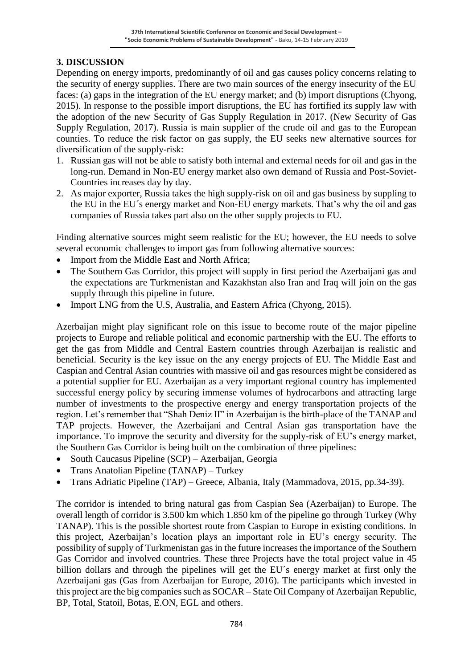# **3. DISCUSSION**

Depending on energy imports, predominantly of oil and gas causes policy concerns relating to the security of energy supplies. There are two main sources of the energy insecurity of the EU faces: (a) gaps in the integration of the EU energy market; and (b) import disruptions (Chyong, 2015). In response to the possible import disruptions, the EU has fortified its supply law with the adoption of the new Security of Gas Supply Regulation in 2017. (New Security of Gas Supply Regulation, 2017). Russia is main supplier of the crude oil and gas to the European counties. To reduce the risk factor on gas supply, the EU seeks new alternative sources for diversification of the supply-risk:

- 1. Russian gas will not be able to satisfy both internal and external needs for oil and gas in the long-run. Demand in Non-EU energy market also own demand of Russia and Post-Soviet-Countries increases day by day.
- 2. As major exporter, Russia takes the high supply-risk on oil and gas business by suppling to the EU in the EU´s energy market and Non-EU energy markets. That's why the oil and gas companies of Russia takes part also on the other supply projects to EU.

Finding alternative sources might seem realistic for the EU; however, the EU needs to solve several economic challenges to import gas from following alternative sources:

- Import from the Middle East and North Africa;
- The Southern Gas Corridor, this project will supply in first period the Azerbaijani gas and the expectations are Turkmenistan and Kazakhstan also Iran and Iraq will join on the gas supply through this pipeline in future.
- Import LNG from the U.S, Australia, and Eastern Africa (Chyong, 2015).

Azerbaijan might play significant role on this issue to become route of the major pipeline projects to Europe and reliable political and economic partnership with the EU. The efforts to get the gas from Middle and Central Eastern countries through Azerbaijan is realistic and beneficial. Security is the key issue on the any energy projects of EU. The Middle East and Caspian and Central Asian countries with massive oil and gas resources might be considered as a potential supplier for EU. Azerbaijan as a very important regional country has implemented successful energy policy by securing immense volumes of hydrocarbons and attracting large number of investments to the prospective energy and energy transportation projects of the region. Let's remember that "Shah Deniz II" in Azerbaijan is the birth-place of the TANAP and TAP projects. However, the Azerbaijani and Central Asian gas transportation have the importance. To improve the security and diversity for the supply-risk of EU's energy market, the Southern Gas Corridor is being built on the combination of three pipelines:

- [South Caucasus Pipeline \(SCP\) –](http://www.bp.com/en_az/caspian/operationsprojects/pipelines/SCP.html) Azerbaijan, Georgia
- Trans Anatolian Pipeline (TANAP) Turkey
- Trans Adriatic Pipeline (TAP) Greece, Albania, Italy (Mammadova, 2015, pp.34-39).

The corridor is intended to bring natural gas from Caspian Sea (Azerbaijan) to Europe. The overall length of corridor is 3.500 km which 1.850 km of the pipeline go through Turkey (Why TANAP). This is the possible shortest route from Caspian to Europe in existing conditions. In this project, Azerbaijan's location plays an important role in EU's energy security. The possibility of supply of Turkmenistan gas in the future increases the importance of the Southern Gas Corridor and involved countries. These three Projects have the total project value in 45 billion dollars and through the pipelines will get the EU´s energy market at first only the Azerbaijani gas (Gas from Azerbaijan for Europe, 2016). The participants which invested in this project are the big companies such as SOCAR – State Oil Company of Azerbaijan Republic, BP, Total, Statoil, Botas, E.ON, EGL and others.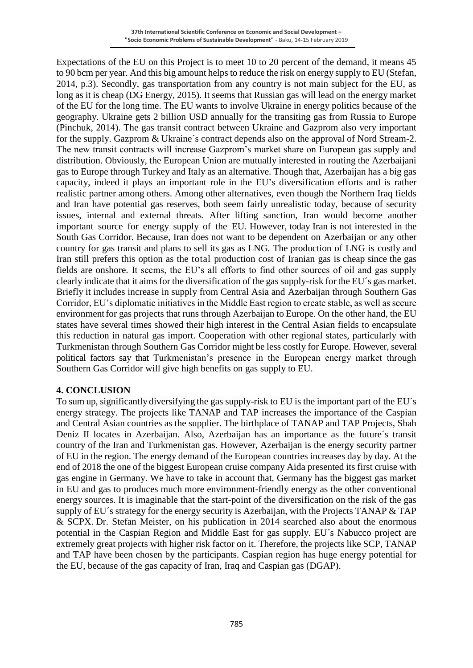Expectations of the EU on this Project is to meet 10 to 20 percent of the demand, it means 45 to 90 bcm per year. And this big amount helps to reduce the risk on energy supply to EU (Stefan, 2014, p.3). Secondly, gas transportation from any country is not main subject for the EU, as long as it is cheap (DG Energy, 2015). It seems that Russian gas will lead on the energy market of the EU for the long time. The EU wants to involve Ukraine in energy politics because of the geography. Ukraine gets 2 billion USD annually for the transiting gas from Russia to Europe (Pinchuk, 2014). The gas transit contract between Ukraine and Gazprom also very important for the supply. Gazprom & Ukraine´s contract depends also on the approval of Nord Stream-2. The new transit contracts will increase Gazprom's market share on European gas supply and distribution. Obviously, the European Union are mutually interested in routing the Azerbaijani gas to Europe through Turkey and Italy as an alternative. Though that, Azerbaijan has a big gas capacity, indeed it plays an important role in the EU's diversification efforts and is rather realistic partner among others. Among other alternatives, even though the Northern Iraq fields and Iran have potential gas reserves, both seem fairly unrealistic today, because of security issues, internal and external threats. After lifting sanction, Iran would become another important source for energy supply of the EU. However, today Iran is not interested in the South Gas Corridor. Because, Iran does not want to be dependent on Azerbaijan or any other country for gas transit and plans to sell its gas as LNG. The production of LNG is costly and Iran still prefers this option as the total production cost of Iranian gas is cheap since the gas fields are onshore. It seems, the EU's all efforts to find other sources of oil and gas supply clearly indicate that it aims for the diversification of the gas supply-risk for the EU´s gas market. Briefly it includes increase in supply from Central Asia and Azerbaijan through Southern Gas Corridor, EU's diplomatic initiatives in the Middle East region to create stable, as well as secure environment for gas projects that runs through Azerbaijan to Europe. On the other hand, the EU states have several times showed their high interest in the Central Asian fields to encapsulate this reduction in natural gas import. Cooperation with other regional states, particularly with Turkmenistan through Southern Gas Corridor might be less costly for Europe. However, several political factors say that Turkmenistan's presence in the European energy market through Southern Gas Corridor will give high benefits on gas supply to EU.

### **4. CONCLUSION**

To sum up, significantly diversifying the gas supply-risk to EU is the important part of the EU´s energy strategy. The projects like TANAP and TAP increases the importance of the Caspian and Central Asian countries as the supplier. The birthplace of TANAP and TAP Projects, Shah Deniz II locates in Azerbaijan. Also, Azerbaijan has an importance as the future´s transit country of the Iran and Turkmenistan gas. However, Azerbaijan is the energy security partner of EU in the region. The energy demand of the European countries increases day by day. At the end of 2018 the one of the biggest European cruise company Aida presented its first cruise with gas engine in Germany. We have to take in account that, Germany has the biggest gas market in EU and gas to produces much more environment-friendly energy as the other conventional energy sources. It is imaginable that the start-point of the diversification on the risk of the gas supply of EU´s strategy for the energy security is Azerbaijan, with the Projects TANAP & TAP & SCPX. Dr. Stefan Meister, on his publication in 2014 searched also about the enormous potential in the Caspian Region and Middle East for gas supply. EU´s Nabucco project are extremely great projects with higher risk factor on it. Therefore, the projects like SCP, TANAP and TAP have been chosen by the participants. Caspian region has huge energy potential for the EU, because of the gas capacity of Iran, Iraq and Caspian gas (DGAP).